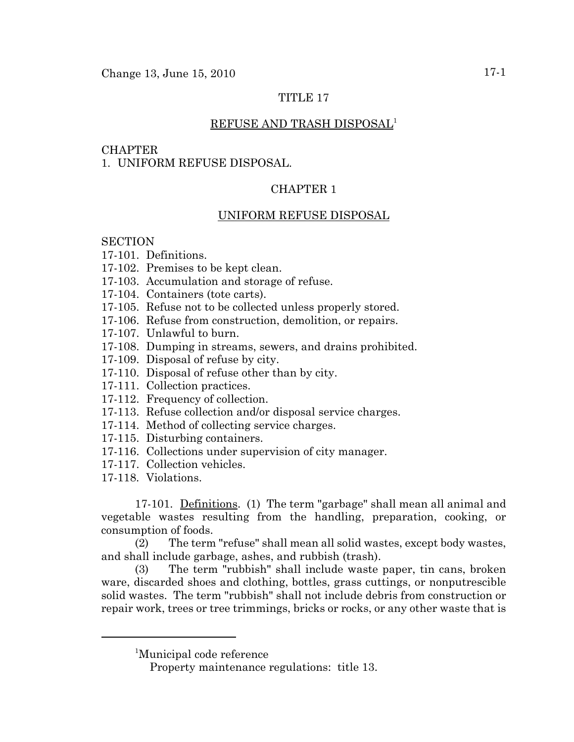# TITLE 17

### REFUSE AND TRASH DISPOSAL<sup>1</sup>

#### **CHAPTER**

1. UNIFORM REFUSE DISPOSAL.

# CHAPTER 1

### UNIFORM REFUSE DISPOSAL

### **SECTION**

- 17-101. Definitions.
- 17-102. Premises to be kept clean.
- 17-103. Accumulation and storage of refuse.
- 17-104. Containers (tote carts).
- 17-105. Refuse not to be collected unless properly stored.
- 17-106. Refuse from construction, demolition, or repairs.
- 17-107. Unlawful to burn.
- 17-108. Dumping in streams, sewers, and drains prohibited.
- 17-109. Disposal of refuse by city.
- 17-110. Disposal of refuse other than by city.
- 17-111. Collection practices.
- 17-112. Frequency of collection.
- 17-113. Refuse collection and/or disposal service charges.
- 17-114. Method of collecting service charges.
- 17-115. Disturbing containers.
- 17-116. Collections under supervision of city manager.
- 17-117. Collection vehicles.
- 17-118. Violations.

17-101. Definitions. (1) The term "garbage" shall mean all animal and vegetable wastes resulting from the handling, preparation, cooking, or consumption of foods.

(2) The term "refuse" shall mean all solid wastes, except body wastes, and shall include garbage, ashes, and rubbish (trash).

(3) The term "rubbish" shall include waste paper, tin cans, broken ware, discarded shoes and clothing, bottles, grass cuttings, or nonputrescible solid wastes. The term "rubbish" shall not include debris from construction or repair work, trees or tree trimmings, bricks or rocks, or any other waste that is

<sup>&</sup>lt;sup>1</sup>Municipal code reference

Property maintenance regulations: title 13.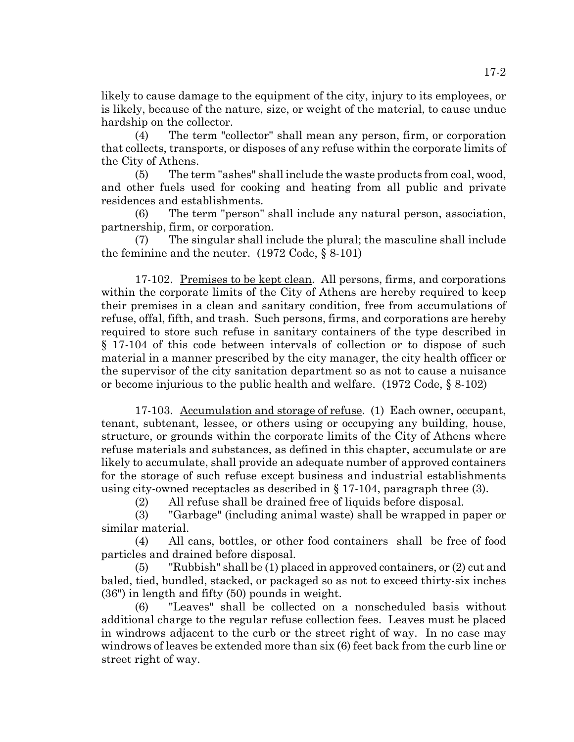likely to cause damage to the equipment of the city, injury to its employees, or is likely, because of the nature, size, or weight of the material, to cause undue hardship on the collector.

(4) The term "collector" shall mean any person, firm, or corporation that collects, transports, or disposes of any refuse within the corporate limits of the City of Athens.

(5) The term "ashes" shall include the waste products from coal, wood, and other fuels used for cooking and heating from all public and private residences and establishments.

(6) The term "person" shall include any natural person, association, partnership, firm, or corporation.

(7) The singular shall include the plural; the masculine shall include the feminine and the neuter. (1972 Code, § 8-101)

17-102. Premises to be kept clean. All persons, firms, and corporations within the corporate limits of the City of Athens are hereby required to keep their premises in a clean and sanitary condition, free from accumulations of refuse, offal, fifth, and trash. Such persons, firms, and corporations are hereby required to store such refuse in sanitary containers of the type described in § 17-104 of this code between intervals of collection or to dispose of such material in a manner prescribed by the city manager, the city health officer or the supervisor of the city sanitation department so as not to cause a nuisance or become injurious to the public health and welfare. (1972 Code, § 8-102)

17-103. Accumulation and storage of refuse. (1) Each owner, occupant, tenant, subtenant, lessee, or others using or occupying any building, house, structure, or grounds within the corporate limits of the City of Athens where refuse materials and substances, as defined in this chapter, accumulate or are likely to accumulate, shall provide an adequate number of approved containers for the storage of such refuse except business and industrial establishments using city-owned receptacles as described in § 17-104, paragraph three (3).

(2) All refuse shall be drained free of liquids before disposal.

(3) "Garbage" (including animal waste) shall be wrapped in paper or similar material.

(4) All cans, bottles, or other food containers shall be free of food particles and drained before disposal.

(5) "Rubbish" shall be (1) placed in approved containers, or (2) cut and baled, tied, bundled, stacked, or packaged so as not to exceed thirty-six inches (36") in length and fifty (50) pounds in weight.

(6) "Leaves" shall be collected on a nonscheduled basis without additional charge to the regular refuse collection fees. Leaves must be placed in windrows adjacent to the curb or the street right of way. In no case may windrows of leaves be extended more than six (6) feet back from the curb line or street right of way.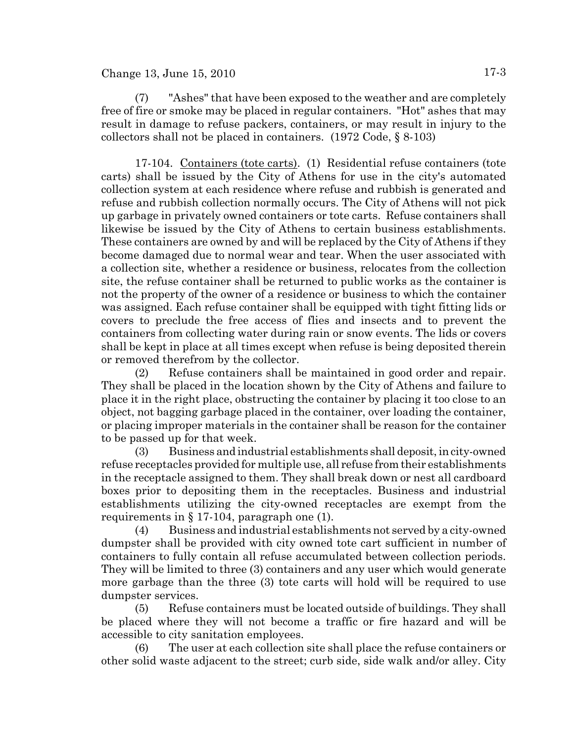### $Change 13, June 15, 2010$   $17-3$

(7) "Ashes" that have been exposed to the weather and are completely free of fire or smoke may be placed in regular containers. "Hot" ashes that may result in damage to refuse packers, containers, or may result in injury to the collectors shall not be placed in containers. (1972 Code, § 8-103)

17-104. Containers (tote carts). (1) Residential refuse containers (tote carts) shall be issued by the City of Athens for use in the city's automated collection system at each residence where refuse and rubbish is generated and refuse and rubbish collection normally occurs. The City of Athens will not pick up garbage in privately owned containers or tote carts. Refuse containers shall likewise be issued by the City of Athens to certain business establishments. These containers are owned by and will be replaced by the City of Athens if they become damaged due to normal wear and tear. When the user associated with a collection site, whether a residence or business, relocates from the collection site, the refuse container shall be returned to public works as the container is not the property of the owner of a residence or business to which the container was assigned. Each refuse container shall be equipped with tight fitting lids or covers to preclude the free access of flies and insects and to prevent the containers from collecting water during rain or snow events. The lids or covers shall be kept in place at all times except when refuse is being deposited therein or removed therefrom by the collector.

(2) Refuse containers shall be maintained in good order and repair. They shall be placed in the location shown by the City of Athens and failure to place it in the right place, obstructing the container by placing it too close to an object, not bagging garbage placed in the container, over loading the container, or placing improper materials in the container shall be reason for the container to be passed up for that week.

(3) Business and industrial establishments shall deposit, in city-owned refuse receptacles provided for multiple use, all refuse from their establishments in the receptacle assigned to them. They shall break down or nest all cardboard boxes prior to depositing them in the receptacles. Business and industrial establishments utilizing the city-owned receptacles are exempt from the requirements in § 17-104, paragraph one (1).

(4) Business and industrial establishments not served by a city-owned dumpster shall be provided with city owned tote cart sufficient in number of containers to fully contain all refuse accumulated between collection periods. They will be limited to three (3) containers and any user which would generate more garbage than the three (3) tote carts will hold will be required to use dumpster services.

(5) Refuse containers must be located outside of buildings. They shall be placed where they will not become a traffic or fire hazard and will be accessible to city sanitation employees.

(6) The user at each collection site shall place the refuse containers or other solid waste adjacent to the street; curb side, side walk and/or alley. City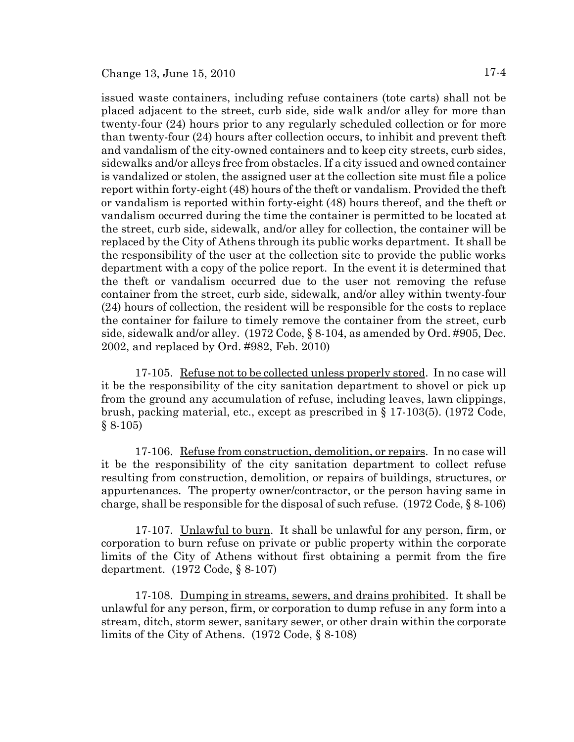issued waste containers, including refuse containers (tote carts) shall not be placed adjacent to the street, curb side, side walk and/or alley for more than twenty-four (24) hours prior to any regularly scheduled collection or for more than twenty-four (24) hours after collection occurs, to inhibit and prevent theft and vandalism of the city-owned containers and to keep city streets, curb sides, sidewalks and/or alleys free from obstacles. If a city issued and owned container is vandalized or stolen, the assigned user at the collection site must file a police report within forty-eight (48) hours of the theft or vandalism. Provided the theft or vandalism is reported within forty-eight (48) hours thereof, and the theft or vandalism occurred during the time the container is permitted to be located at the street, curb side, sidewalk, and/or alley for collection, the container will be replaced by the City of Athens through its public works department. It shall be the responsibility of the user at the collection site to provide the public works department with a copy of the police report. In the event it is determined that the theft or vandalism occurred due to the user not removing the refuse container from the street, curb side, sidewalk, and/or alley within twenty-four (24) hours of collection, the resident will be responsible for the costs to replace the container for failure to timely remove the container from the street, curb side, sidewalk and/or alley. (1972 Code, § 8-104, as amended by Ord. #905, Dec. 2002, and replaced by Ord. #982, Feb. 2010)

17-105. Refuse not to be collected unless properly stored. In no case will it be the responsibility of the city sanitation department to shovel or pick up from the ground any accumulation of refuse, including leaves, lawn clippings, brush, packing material, etc., except as prescribed in § 17-103(5). (1972 Code, § 8-105)

17-106. Refuse from construction, demolition, or repairs. In no case will it be the responsibility of the city sanitation department to collect refuse resulting from construction, demolition, or repairs of buildings, structures, or appurtenances. The property owner/contractor, or the person having same in charge, shall be responsible for the disposal of such refuse. (1972 Code, § 8-106)

17-107. Unlawful to burn. It shall be unlawful for any person, firm, or corporation to burn refuse on private or public property within the corporate limits of the City of Athens without first obtaining a permit from the fire department. (1972 Code, § 8-107)

17-108. Dumping in streams, sewers, and drains prohibited. It shall be unlawful for any person, firm, or corporation to dump refuse in any form into a stream, ditch, storm sewer, sanitary sewer, or other drain within the corporate limits of the City of Athens. (1972 Code, § 8-108)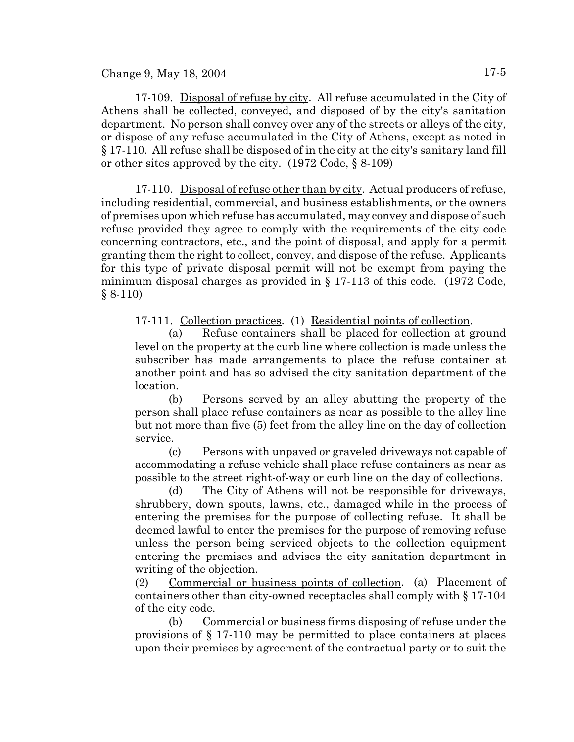Change 9, May 18, 2004  $17-5$ 

17-109. Disposal of refuse by city. All refuse accumulated in the City of Athens shall be collected, conveyed, and disposed of by the city's sanitation department. No person shall convey over any of the streets or alleys of the city, or dispose of any refuse accumulated in the City of Athens, except as noted in § 17-110. All refuse shall be disposed of in the city at the city's sanitary land fill or other sites approved by the city. (1972 Code, § 8-109)

17-110. Disposal of refuse other than by city. Actual producers of refuse, including residential, commercial, and business establishments, or the owners of premises upon which refuse has accumulated, may convey and dispose of such refuse provided they agree to comply with the requirements of the city code concerning contractors, etc., and the point of disposal, and apply for a permit granting them the right to collect, convey, and dispose of the refuse. Applicants for this type of private disposal permit will not be exempt from paying the minimum disposal charges as provided in § 17-113 of this code. (1972 Code, § 8-110)

17-111. Collection practices. (1) Residential points of collection.

(a) Refuse containers shall be placed for collection at ground level on the property at the curb line where collection is made unless the subscriber has made arrangements to place the refuse container at another point and has so advised the city sanitation department of the location.

(b) Persons served by an alley abutting the property of the person shall place refuse containers as near as possible to the alley line but not more than five (5) feet from the alley line on the day of collection service.

(c) Persons with unpaved or graveled driveways not capable of accommodating a refuse vehicle shall place refuse containers as near as possible to the street right-of-way or curb line on the day of collections.

(d) The City of Athens will not be responsible for driveways, shrubbery, down spouts, lawns, etc., damaged while in the process of entering the premises for the purpose of collecting refuse. It shall be deemed lawful to enter the premises for the purpose of removing refuse unless the person being serviced objects to the collection equipment entering the premises and advises the city sanitation department in writing of the objection.

(2) Commercial or business points of collection. (a) Placement of containers other than city-owned receptacles shall comply with § 17-104 of the city code.

(b) Commercial or business firms disposing of refuse under the provisions of § 17-110 may be permitted to place containers at places upon their premises by agreement of the contractual party or to suit the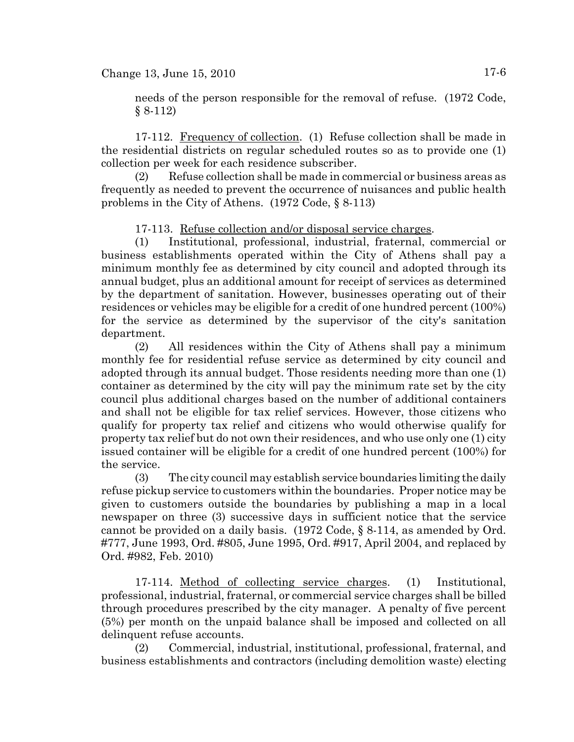needs of the person responsible for the removal of refuse. (1972 Code, § 8-112)

17-112. Frequency of collection. (1) Refuse collection shall be made in the residential districts on regular scheduled routes so as to provide one (1) collection per week for each residence subscriber.

(2) Refuse collection shall be made in commercial or business areas as frequently as needed to prevent the occurrence of nuisances and public health problems in the City of Athens. (1972 Code, § 8-113)

17-113. Refuse collection and/or disposal service charges.

(1) Institutional, professional, industrial, fraternal, commercial or business establishments operated within the City of Athens shall pay a minimum monthly fee as determined by city council and adopted through its annual budget, plus an additional amount for receipt of services as determined by the department of sanitation. However, businesses operating out of their residences or vehicles may be eligible for a credit of one hundred percent (100%) for the service as determined by the supervisor of the city's sanitation department.

(2) All residences within the City of Athens shall pay a minimum monthly fee for residential refuse service as determined by city council and adopted through its annual budget. Those residents needing more than one (1) container as determined by the city will pay the minimum rate set by the city council plus additional charges based on the number of additional containers and shall not be eligible for tax relief services. However, those citizens who qualify for property tax relief and citizens who would otherwise qualify for property tax relief but do not own their residences, and who use only one (1) city issued container will be eligible for a credit of one hundred percent (100%) for the service.

(3) The city council may establish service boundaries limiting the daily refuse pickup service to customers within the boundaries. Proper notice may be given to customers outside the boundaries by publishing a map in a local newspaper on three (3) successive days in sufficient notice that the service cannot be provided on a daily basis. (1972 Code, § 8-114, as amended by Ord. #777, June 1993, Ord. #805, June 1995, Ord. #917, April 2004, and replaced by Ord. #982, Feb. 2010)

17-114. Method of collecting service charges. (1) Institutional, professional, industrial, fraternal, or commercial service charges shall be billed through procedures prescribed by the city manager. A penalty of five percent (5%) per month on the unpaid balance shall be imposed and collected on all delinquent refuse accounts.

(2) Commercial, industrial, institutional, professional, fraternal, and business establishments and contractors (including demolition waste) electing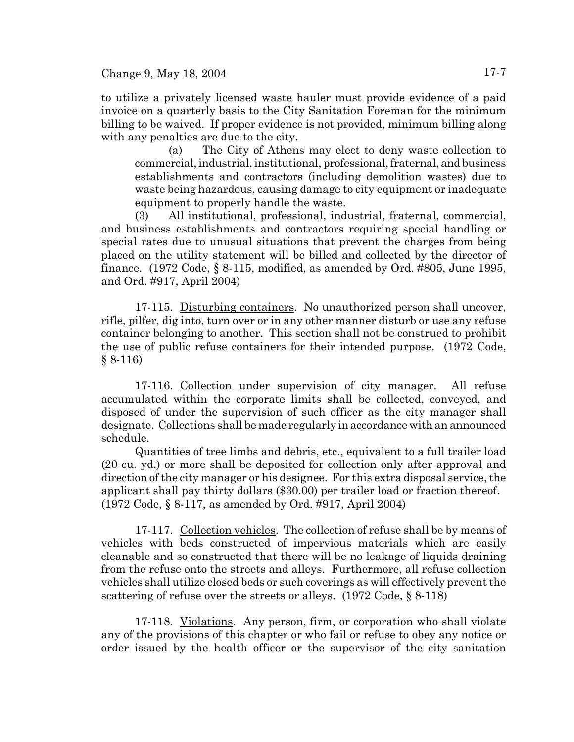to utilize a privately licensed waste hauler must provide evidence of a paid invoice on a quarterly basis to the City Sanitation Foreman for the minimum billing to be waived. If proper evidence is not provided, minimum billing along with any penalties are due to the city.

(a) The City of Athens may elect to deny waste collection to commercial, industrial, institutional, professional, fraternal, and business establishments and contractors (including demolition wastes) due to waste being hazardous, causing damage to city equipment or inadequate equipment to properly handle the waste.

(3) All institutional, professional, industrial, fraternal, commercial, and business establishments and contractors requiring special handling or special rates due to unusual situations that prevent the charges from being placed on the utility statement will be billed and collected by the director of finance.  $(1972 \text{ Code}, \S 8-115, \text{ modified}, \text{as amended by Ord. #805}, \text{June 1995},$ and Ord. #917, April 2004)

17-115. Disturbing containers. No unauthorized person shall uncover, rifle, pilfer, dig into, turn over or in any other manner disturb or use any refuse container belonging to another. This section shall not be construed to prohibit the use of public refuse containers for their intended purpose. (1972 Code, § 8-116)

17-116. Collection under supervision of city manager. All refuse accumulated within the corporate limits shall be collected, conveyed, and disposed of under the supervision of such officer as the city manager shall designate. Collections shall be made regularly in accordance with an announced schedule.

Quantities of tree limbs and debris, etc., equivalent to a full trailer load (20 cu. yd.) or more shall be deposited for collection only after approval and direction of the city manager or his designee. For this extra disposal service, the applicant shall pay thirty dollars (\$30.00) per trailer load or fraction thereof. (1972 Code, § 8-117, as amended by Ord. #917, April 2004)

17-117. Collection vehicles. The collection of refuse shall be by means of vehicles with beds constructed of impervious materials which are easily cleanable and so constructed that there will be no leakage of liquids draining from the refuse onto the streets and alleys. Furthermore, all refuse collection vehicles shall utilize closed beds or such coverings as will effectively prevent the scattering of refuse over the streets or alleys. (1972 Code, § 8-118)

17-118. Violations. Any person, firm, or corporation who shall violate any of the provisions of this chapter or who fail or refuse to obey any notice or order issued by the health officer or the supervisor of the city sanitation